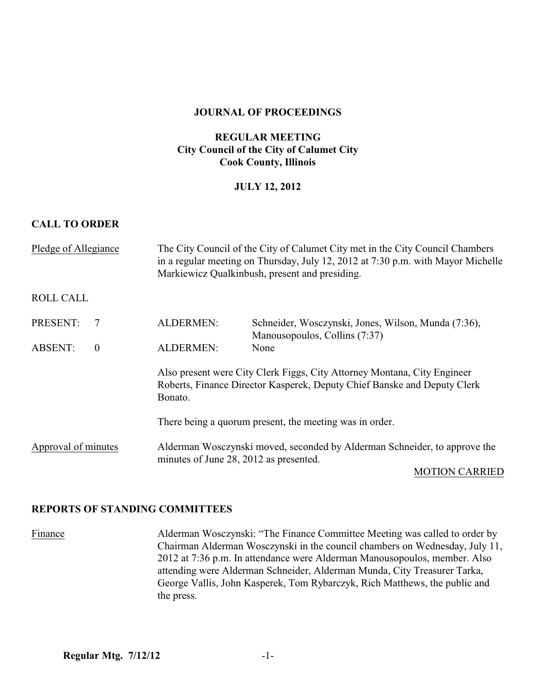#### **JOURNAL OF PROCEEDINGS**

## **REGULAR MEETING City Council of the City of Calumet City Cook County, Illinois**

## **JULY 12, 2012**

## **CALL TO ORDER**

| Pledge of Allegiance                                          | The City Council of the City of Calumet City met in the City Council Chambers<br>in a regular meeting on Thursday, July 12, 2012 at 7:30 p.m. with Mayor Michelle<br>Markiewicz Qualkinbush, present and presiding. |                                                                                      |
|---------------------------------------------------------------|---------------------------------------------------------------------------------------------------------------------------------------------------------------------------------------------------------------------|--------------------------------------------------------------------------------------|
| <b>ROLL CALL</b>                                              |                                                                                                                                                                                                                     |                                                                                      |
| PRESENT:<br>7                                                 | <b>ALDERMEN:</b>                                                                                                                                                                                                    | Schneider, Wosczynski, Jones, Wilson, Munda (7:36),<br>Manousopoulos, Collins (7:37) |
| <b>ABSENT:</b><br>$\mathbf{0}$                                | <b>ALDERMEN:</b>                                                                                                                                                                                                    | None                                                                                 |
|                                                               | Also present were City Clerk Figgs, City Attorney Montana, City Engineer<br>Roberts, Finance Director Kasperek, Deputy Chief Banske and Deputy Clerk<br>Bonato.                                                     |                                                                                      |
|                                                               | There being a quorum present, the meeting was in order.                                                                                                                                                             |                                                                                      |
| Approval of minutes<br>minutes of June 28, 2012 as presented. |                                                                                                                                                                                                                     | Alderman Wosczynski moved, seconded by Alderman Schneider, to approve the            |
|                                                               |                                                                                                                                                                                                                     | <b>MOTION CARRIED</b>                                                                |

## **REPORTS OF STANDING COMMITTEES**

Finance Alderman Wosczynski: "The Finance Committee Meeting was called to order by Chairman Alderman Wosczynski in the council chambers on Wednesday, July 11, 2012 at 7:36 p.m. In attendance were Alderman Manousopoulos, member. Also attending were Alderman Schneider, Alderman Munda, City Treasurer Tarka, George Vallis, John Kasperek, Tom Rybarczyk, Rich Matthews, the public and the press.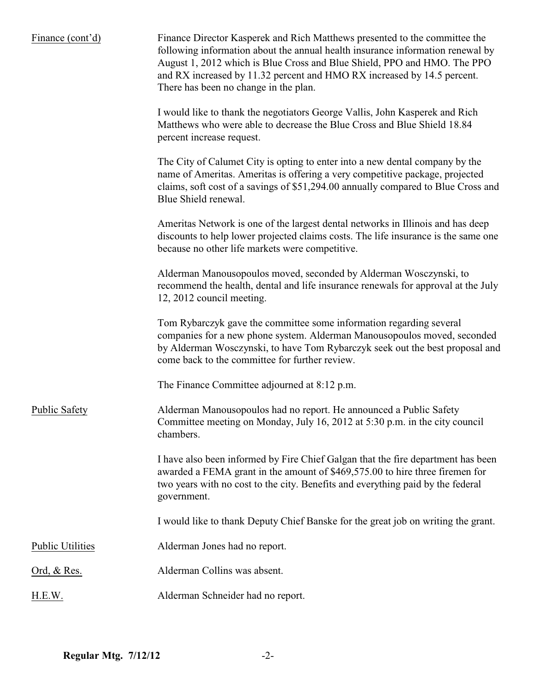| Finance (cont'd)        | Finance Director Kasperek and Rich Matthews presented to the committee the<br>following information about the annual health insurance information renewal by<br>August 1, 2012 which is Blue Cross and Blue Shield, PPO and HMO. The PPO<br>and RX increased by 11.32 percent and HMO RX increased by 14.5 percent.<br>There has been no change in the plan. |
|-------------------------|--------------------------------------------------------------------------------------------------------------------------------------------------------------------------------------------------------------------------------------------------------------------------------------------------------------------------------------------------------------|
|                         | I would like to thank the negotiators George Vallis, John Kasperek and Rich<br>Matthews who were able to decrease the Blue Cross and Blue Shield 18.84<br>percent increase request.                                                                                                                                                                          |
|                         | The City of Calumet City is opting to enter into a new dental company by the<br>name of Ameritas. Ameritas is offering a very competitive package, projected<br>claims, soft cost of a savings of \$51,294.00 annually compared to Blue Cross and<br>Blue Shield renewal.                                                                                    |
|                         | Ameritas Network is one of the largest dental networks in Illinois and has deep<br>discounts to help lower projected claims costs. The life insurance is the same one<br>because no other life markets were competitive.                                                                                                                                     |
|                         | Alderman Manousopoulos moved, seconded by Alderman Wosczynski, to<br>recommend the health, dental and life insurance renewals for approval at the July<br>12, 2012 council meeting.                                                                                                                                                                          |
|                         | Tom Rybarczyk gave the committee some information regarding several<br>companies for a new phone system. Alderman Manousopoulos moved, seconded<br>by Alderman Wosczynski, to have Tom Rybarczyk seek out the best proposal and<br>come back to the committee for further review.                                                                            |
|                         | The Finance Committee adjourned at 8:12 p.m.                                                                                                                                                                                                                                                                                                                 |
| <b>Public Safety</b>    | Alderman Manousopoulos had no report. He announced a Public Safety<br>Committee meeting on Monday, July 16, 2012 at 5:30 p.m. in the city council<br>chambers.                                                                                                                                                                                               |
|                         | I have also been informed by Fire Chief Galgan that the fire department has been<br>awarded a FEMA grant in the amount of \$469,575.00 to hire three firemen for<br>two years with no cost to the city. Benefits and everything paid by the federal<br>government.                                                                                           |
|                         | I would like to thank Deputy Chief Banske for the great job on writing the grant.                                                                                                                                                                                                                                                                            |
| <b>Public Utilities</b> | Alderman Jones had no report.                                                                                                                                                                                                                                                                                                                                |
| Ord, & Res.             | Alderman Collins was absent.                                                                                                                                                                                                                                                                                                                                 |
| H.E.W.                  | Alderman Schneider had no report.                                                                                                                                                                                                                                                                                                                            |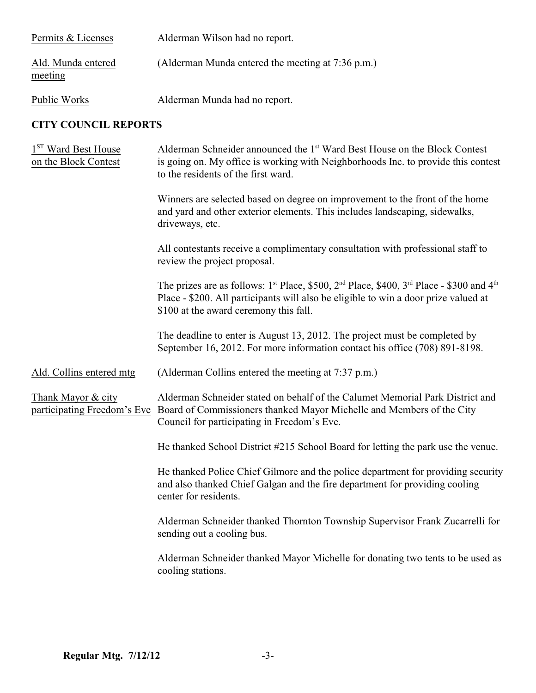| Permits & Licenses                                      | Alderman Wilson had no report.                                                                                                                                                                                                                |
|---------------------------------------------------------|-----------------------------------------------------------------------------------------------------------------------------------------------------------------------------------------------------------------------------------------------|
| Ald. Munda entered<br>meeting                           | (Alderman Munda entered the meeting at 7:36 p.m.)                                                                                                                                                                                             |
| Public Works                                            | Alderman Munda had no report.                                                                                                                                                                                                                 |
| <b>CITY COUNCIL REPORTS</b>                             |                                                                                                                                                                                                                                               |
| 1 <sup>ST</sup> Ward Best House<br>on the Block Contest | Alderman Schneider announced the 1 <sup>st</sup> Ward Best House on the Block Contest<br>is going on. My office is working with Neighborhoods Inc. to provide this contest<br>to the residents of the first ward.                             |
|                                                         | Winners are selected based on degree on improvement to the front of the home<br>and yard and other exterior elements. This includes landscaping, sidewalks,<br>driveways, etc.                                                                |
|                                                         | All contestants receive a complimentary consultation with professional staff to<br>review the project proposal.                                                                                                                               |
|                                                         | The prizes are as follows: $1^{st}$ Place, \$500, $2^{nd}$ Place, \$400, $3^{rd}$ Place - \$300 and $4^{th}$<br>Place - \$200. All participants will also be eligible to win a door prize valued at<br>\$100 at the award ceremony this fall. |
|                                                         | The deadline to enter is August 13, 2012. The project must be completed by<br>September 16, 2012. For more information contact his office (708) 891-8198.                                                                                     |
| Ald. Collins entered mtg                                | (Alderman Collins entered the meeting at 7:37 p.m.)                                                                                                                                                                                           |
| Thank Mayor & city<br>participating Freedom's Eve       | Alderman Schneider stated on behalf of the Calumet Memorial Park District and<br>Board of Commissioners thanked Mayor Michelle and Members of the City<br>Council for participating in Freedom's Eve.                                         |
|                                                         | He thanked School District #215 School Board for letting the park use the venue.                                                                                                                                                              |
|                                                         | He thanked Police Chief Gilmore and the police department for providing security<br>and also thanked Chief Galgan and the fire department for providing cooling<br>center for residents.                                                      |
|                                                         | Alderman Schneider thanked Thornton Township Supervisor Frank Zucarrelli for<br>sending out a cooling bus.                                                                                                                                    |
|                                                         | Alderman Schneider thanked Mayor Michelle for donating two tents to be used as<br>cooling stations.                                                                                                                                           |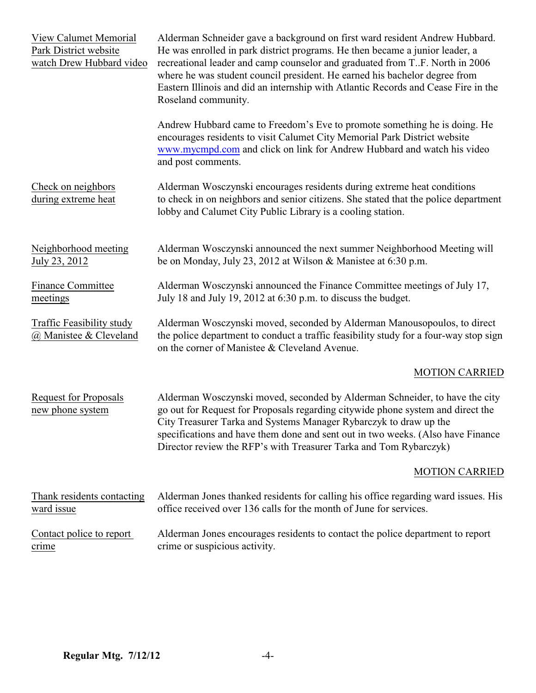| View Calumet Memorial<br>Park District website<br>watch Drew Hubbard video | Alderman Schneider gave a background on first ward resident Andrew Hubbard.<br>He was enrolled in park district programs. He then became a junior leader, a<br>recreational leader and camp counselor and graduated from T.F. North in 2006<br>where he was student council president. He earned his bachelor degree from<br>Eastern Illinois and did an internship with Atlantic Records and Cease Fire in the<br>Roseland community. |
|----------------------------------------------------------------------------|----------------------------------------------------------------------------------------------------------------------------------------------------------------------------------------------------------------------------------------------------------------------------------------------------------------------------------------------------------------------------------------------------------------------------------------|
|                                                                            | Andrew Hubbard came to Freedom's Eve to promote something he is doing. He<br>encourages residents to visit Calumet City Memorial Park District website<br>www.mycmpd.com and click on link for Andrew Hubbard and watch his video<br>and post comments.                                                                                                                                                                                |
| Check on neighbors<br>during extreme heat                                  | Alderman Wosczynski encourages residents during extreme heat conditions<br>to check in on neighbors and senior citizens. She stated that the police department<br>lobby and Calumet City Public Library is a cooling station.                                                                                                                                                                                                          |
| Neighborhood meeting<br>July 23, 2012                                      | Alderman Wosczynski announced the next summer Neighborhood Meeting will<br>be on Monday, July 23, 2012 at Wilson & Manistee at 6:30 p.m.                                                                                                                                                                                                                                                                                               |
| Finance Committee<br>meetings                                              | Alderman Wosczynski announced the Finance Committee meetings of July 17,<br>July 18 and July 19, 2012 at 6:30 p.m. to discuss the budget.                                                                                                                                                                                                                                                                                              |
| Traffic Feasibility study<br>@ Manistee & Cleveland                        | Alderman Wosczynski moved, seconded by Alderman Manousopoulos, to direct<br>the police department to conduct a traffic feasibility study for a four-way stop sign<br>on the corner of Manistee & Cleveland Avenue.                                                                                                                                                                                                                     |
|                                                                            | <b>MOTION CARRIED</b>                                                                                                                                                                                                                                                                                                                                                                                                                  |
| <b>Request for Proposals</b><br>new phone system                           | Alderman Wosczynski moved, seconded by Alderman Schneider, to have the city<br>go out for Request for Proposals regarding citywide phone system and direct the<br>City Treasurer Tarka and Systems Manager Rybarczyk to draw up the<br>specifications and have them done and sent out in two weeks. (Also have Finance<br>Director review the RFP's with Treasurer Tarka and Tom Rybarczyk)                                            |
|                                                                            | <b>MOTION CARRIED</b>                                                                                                                                                                                                                                                                                                                                                                                                                  |
| Thank residents contacting<br>ward issue                                   | Alderman Jones thanked residents for calling his office regarding ward issues. His<br>office received over 136 calls for the month of June for services.                                                                                                                                                                                                                                                                               |
| Contact police to report<br>crime                                          | Alderman Jones encourages residents to contact the police department to report<br>crime or suspicious activity.                                                                                                                                                                                                                                                                                                                        |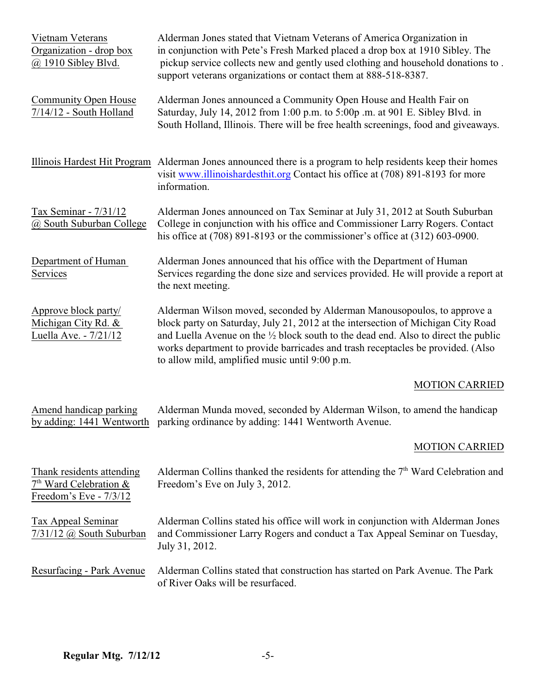| Vietnam Veterans<br>Organization - drop box<br>$@$ 1910 Sibley Blvd.            | Alderman Jones stated that Vietnam Veterans of America Organization in<br>in conjunction with Pete's Fresh Marked placed a drop box at 1910 Sibley. The<br>pickup service collects new and gently used clothing and household donations to.<br>support veterans organizations or contact them at 888-518-8387.                                                                                    |
|---------------------------------------------------------------------------------|---------------------------------------------------------------------------------------------------------------------------------------------------------------------------------------------------------------------------------------------------------------------------------------------------------------------------------------------------------------------------------------------------|
| Community Open House<br>$7/14/12$ - South Holland                               | Alderman Jones announced a Community Open House and Health Fair on<br>Saturday, July 14, 2012 from 1:00 p.m. to 5:00p .m. at 901 E. Sibley Blvd. in<br>South Holland, Illinois. There will be free health screenings, food and giveaways.                                                                                                                                                         |
|                                                                                 | Illinois Hardest Hit Program Alderman Jones announced there is a program to help residents keep their homes<br>visit www.illinoishardesthit.org Contact his office at (708) 891-8193 for more<br>information.                                                                                                                                                                                     |
| Tax Seminar - 7/31/12<br>@ South Suburban College                               | Alderman Jones announced on Tax Seminar at July 31, 2012 at South Suburban<br>College in conjunction with his office and Commissioner Larry Rogers. Contact<br>his office at $(708)$ 891-8193 or the commissioner's office at $(312)$ 603-0900.                                                                                                                                                   |
| Department of Human<br>Services                                                 | Alderman Jones announced that his office with the Department of Human<br>Services regarding the done size and services provided. He will provide a report at<br>the next meeting.                                                                                                                                                                                                                 |
| Approve block party/<br>Michigan City Rd. &<br>Luella Ave. - 7/21/12            | Alderman Wilson moved, seconded by Alderman Manousopoulos, to approve a<br>block party on Saturday, July 21, 2012 at the intersection of Michigan City Road<br>and Luella Avenue on the $\frac{1}{2}$ block south to the dead end. Also to direct the public<br>works department to provide barricades and trash receptacles be provided. (Also<br>to allow mild, amplified music until 9:00 p.m. |
|                                                                                 | <b>MOTION CARRIED</b>                                                                                                                                                                                                                                                                                                                                                                             |
| Amend handicap parking                                                          | Alderman Munda moved, seconded by Alderman Wilson, to amend the handicap<br>by adding: 1441 Wentworth parking ordinance by adding: 1441 Wentworth Avenue.                                                                                                                                                                                                                                         |
|                                                                                 | <b>MOTION CARRIED</b>                                                                                                                                                                                                                                                                                                                                                                             |
| Thank residents attending<br>$7th$ Ward Celebration &<br>Freedom's Eve - 7/3/12 | Alderman Collins thanked the residents for attending the 7 <sup>th</sup> Ward Celebration and<br>Freedom's Eve on July 3, 2012.                                                                                                                                                                                                                                                                   |
| Tax Appeal Seminar<br>$7/31/12$ @ South Suburban                                | Alderman Collins stated his office will work in conjunction with Alderman Jones<br>and Commissioner Larry Rogers and conduct a Tax Appeal Seminar on Tuesday,<br>July 31, 2012.                                                                                                                                                                                                                   |
| Resurfacing - Park Avenue                                                       | Alderman Collins stated that construction has started on Park Avenue. The Park<br>of River Oaks will be resurfaced.                                                                                                                                                                                                                                                                               |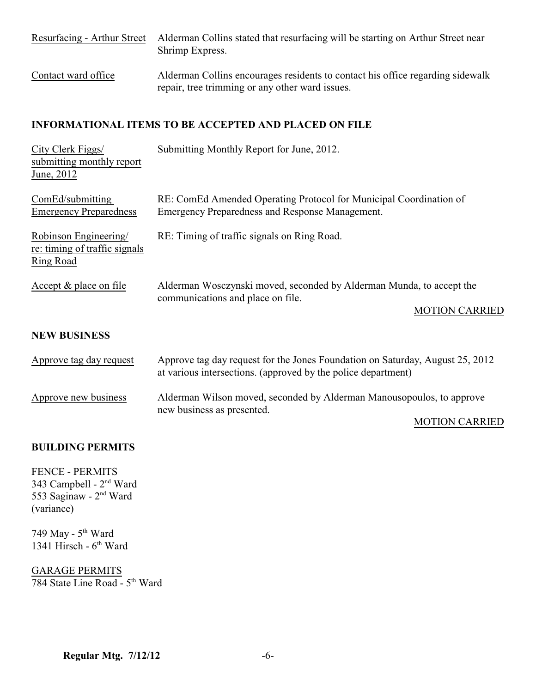| Resurfacing - Arthur Street | Alderman Collins stated that resurfacing will be starting on Arthur Street near<br>Shrimp Express.                                |
|-----------------------------|-----------------------------------------------------------------------------------------------------------------------------------|
| Contact ward office         | Alderman Collins encourages residents to contact his office regarding sidewalk<br>repair, tree trimming or any other ward issues. |

## **INFORMATIONAL ITEMS TO BE ACCEPTED AND PLACED ON FILE**

| City Clerk Figgs/<br>submitting monthly report<br>June, 2012        | Submitting Monthly Report for June, 2012.                                                                                                      |  |
|---------------------------------------------------------------------|------------------------------------------------------------------------------------------------------------------------------------------------|--|
| ComEd/submitting<br><b>Emergency Preparedness</b>                   | RE: ComEd Amended Operating Protocol for Municipal Coordination of<br>Emergency Preparedness and Response Management.                          |  |
| Robinson Engineering/<br>re: timing of traffic signals<br>Ring Road | RE: Timing of traffic signals on Ring Road.                                                                                                    |  |
| Accept & place on file                                              | Alderman Wosczynski moved, seconded by Alderman Munda, to accept the<br>communications and place on file.<br><b>MOTION CARRIED</b>             |  |
| <b>NEW BUSINESS</b>                                                 |                                                                                                                                                |  |
| Approve tag day request                                             | Approve tag day request for the Jones Foundation on Saturday, August 25, 2012<br>at various intersections. (approved by the police department) |  |
| Approve new business                                                | Alderman Wilson moved, seconded by Alderman Manousopoulos, to approve<br>new business as presented.<br><b>MOTION CARRIED</b>                   |  |

## **BUILDING PERMITS**

FENCE - PERMITS 343 Campbell - 2<sup>nd</sup> Ward 553 Saginaw - 2<sup>nd</sup> Ward (variance)

749 May - 5<sup>th</sup> Ward 1341 Hirsch -  $6<sup>th</sup>$  Ward

GARAGE PERMITS  $784$  State Line Road -  $5<sup>th</sup>$  Ward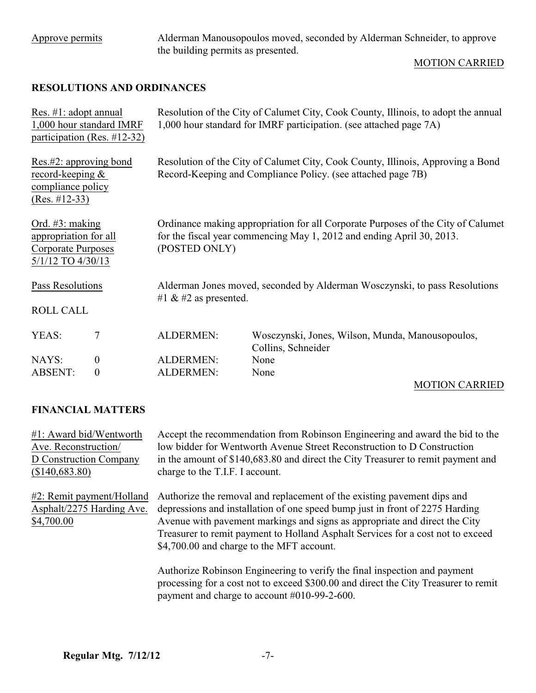Approve permits Alderman Manousopoulos moved, seconded by Alderman Schneider, to approve the building permits as presented.

## MOTION CARRIED

## **RESOLUTIONS AND ORDINANCES**

| Res. #1: adopt annual<br>1,000 hour standard IMRF<br>participation (Res. $\#12-32$ )          |                  | Resolution of the City of Calumet City, Cook County, Illinois, to adopt the annual<br>1,000 hour standard for IMRF participation. (see attached page 7A)                   |                                                                        |  |
|-----------------------------------------------------------------------------------------------|------------------|----------------------------------------------------------------------------------------------------------------------------------------------------------------------------|------------------------------------------------------------------------|--|
| Res.#2: approving bond<br>record-keeping $&$<br>compliance policy<br>$(Res. #12-33)$          |                  | Resolution of the City of Calumet City, Cook County, Illinois, Approving a Bond<br>Record-Keeping and Compliance Policy. (see attached page 7B)                            |                                                                        |  |
| Ord. $#3$ : making<br>appropriation for all<br><b>Corporate Purposes</b><br>5/1/12 TO 4/30/13 |                  | Ordinance making appropriation for all Corporate Purposes of the City of Calumet<br>for the fiscal year commencing May 1, 2012 and ending April 30, 2013.<br>(POSTED ONLY) |                                                                        |  |
| Pass Resolutions                                                                              |                  | Alderman Jones moved, seconded by Alderman Wosczynski, to pass Resolutions<br>#1 $\&$ #2 as presented.                                                                     |                                                                        |  |
| <b>ROLL CALL</b>                                                                              |                  |                                                                                                                                                                            |                                                                        |  |
| YEAS:                                                                                         | 7                | <b>ALDERMEN:</b>                                                                                                                                                           | Wosczynski, Jones, Wilson, Munda, Manousopoulos,<br>Collins, Schneider |  |
| NAYS:                                                                                         | $\boldsymbol{0}$ | <b>ALDERMEN:</b>                                                                                                                                                           | None                                                                   |  |
| <b>ABSENT:</b>                                                                                | $\theta$         | <b>ALDERMEN:</b>                                                                                                                                                           | None                                                                   |  |

# MOTION CARRIED

## **FINANCIAL MATTERS**

#1: Award bid/Wentworth Accept the recommendation from Robinson Engineering and award the bid to the Ave. Reconstruction/ low bidder for Wentworth Avenue Street Reconstruction to D Construction D Construction Company in the amount of \$140,683.80 and direct the City Treasurer to remit payment and (\$140,683.80) charge to the T.I.F. I account. #2: Remit payment/Holland Authorize the removal and replacement of the existing pavement dips and Asphalt/2275 Harding Ave. depressions and installation of one speed bump just in front of 2275 Harding \$4,700.00 Avenue with pavement markings and signs as appropriate and direct the City Treasurer to remit payment to Holland Asphalt Services for a cost not to exceed \$4,700.00 and charge to the MFT account. Authorize Robinson Engineering to verify the final inspection and payment processing for a cost not to exceed \$300.00 and direct the City Treasurer to remit payment and charge to account #010-99-2-600.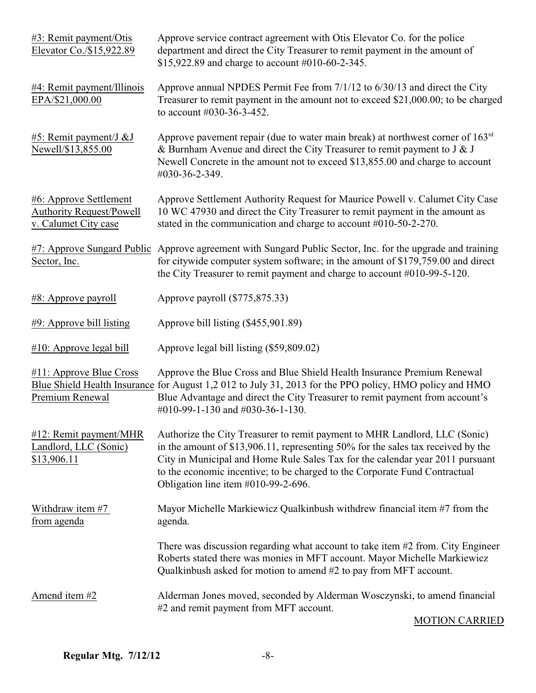| #3: Remit payment/Otis<br>Elevator Co./\$15,922.89                                | Approve service contract agreement with Otis Elevator Co. for the police<br>department and direct the City Treasurer to remit payment in the amount of<br>\$15,922.89 and charge to account #010-60-2-345.                                                                                                                                                              |
|-----------------------------------------------------------------------------------|-------------------------------------------------------------------------------------------------------------------------------------------------------------------------------------------------------------------------------------------------------------------------------------------------------------------------------------------------------------------------|
| #4: Remit payment/Illinois<br>EPA/\$21,000.00                                     | Approve annual NPDES Permit Fee from 7/1/12 to 6/30/13 and direct the City<br>Treasurer to remit payment in the amount not to exceed \$21,000.00; to be charged<br>to account #030-36-3-452.                                                                                                                                                                            |
| #5: Remit payment/J &J<br>Newell/\$13,855.00                                      | Approve pavement repair (due to water main break) at northwest corner of $163rd$<br>& Burnham Avenue and direct the City Treasurer to remit payment to $J & J$<br>Newell Concrete in the amount not to exceed \$13,855.00 and charge to account<br>#030-36-2-349.                                                                                                       |
| #6: Approve Settlement<br><b>Authority Request/Powell</b><br>v. Calumet City case | Approve Settlement Authority Request for Maurice Powell v. Calumet City Case<br>10 WC 47930 and direct the City Treasurer to remit payment in the amount as<br>stated in the communication and charge to account #010-50-2-270.                                                                                                                                         |
| Sector, Inc.                                                                      | #7: Approve Sungard Public Approve agreement with Sungard Public Sector, Inc. for the upgrade and training<br>for citywide computer system software; in the amount of \$179,759.00 and direct<br>the City Treasurer to remit payment and charge to account #010-99-5-120.                                                                                               |
| #8: Approve payroll                                                               | Approve payroll (\$775,875.33)                                                                                                                                                                                                                                                                                                                                          |
| #9: Approve bill listing                                                          | Approve bill listing (\$455,901.89)                                                                                                                                                                                                                                                                                                                                     |
| #10: Approve legal bill                                                           | Approve legal bill listing (\$59,809.02)                                                                                                                                                                                                                                                                                                                                |
| #11: Approve Blue Cross<br>Premium Renewal                                        | Approve the Blue Cross and Blue Shield Health Insurance Premium Renewal<br>Blue Shield Health Insurance for August 1,2 012 to July 31, 2013 for the PPO policy, HMO policy and HMO<br>Blue Advantage and direct the City Treasurer to remit payment from account's<br>#010-99-1-130 and #030-36-1-130.                                                                  |
| #12: Remit payment/MHR<br>Landlord, LLC (Sonic)<br>\$13,906.11                    | Authorize the City Treasurer to remit payment to MHR Landlord, LLC (Sonic)<br>in the amount of \$13,906.11, representing 50% for the sales tax received by the<br>City in Municipal and Home Rule Sales Tax for the calendar year 2011 pursuant<br>to the economic incentive; to be charged to the Corporate Fund Contractual<br>Obligation line item $#010-99-2-696$ . |
| Withdraw item #7<br>from agenda                                                   | Mayor Michelle Markiewicz Qualkinbush withdrew financial item #7 from the<br>agenda.                                                                                                                                                                                                                                                                                    |
|                                                                                   | There was discussion regarding what account to take item $#2$ from. City Engineer<br>Roberts stated there was monies in MFT account. Mayor Michelle Markiewicz<br>Qualkinbush asked for motion to amend $#2$ to pay from MFT account.                                                                                                                                   |
| Amend item #2                                                                     | Alderman Jones moved, seconded by Alderman Wosczynski, to amend financial<br>#2 and remit payment from MFT account.                                                                                                                                                                                                                                                     |
|                                                                                   | <b>MOTION CARRIED</b>                                                                                                                                                                                                                                                                                                                                                   |

#### MOTION CARRIED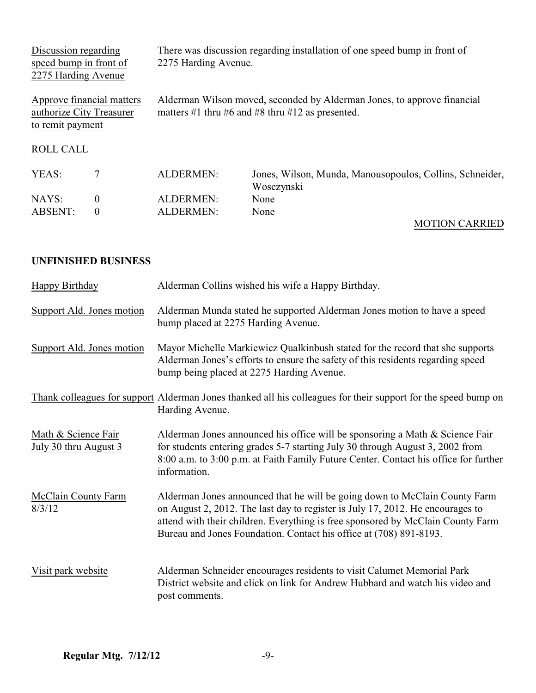| Discussion regarding<br>speed bump in front of<br>2275 Harding Avenue |                           | 2275 Harding Avenue. | There was discussion regarding installation of one speed bump in front of                                                   |
|-----------------------------------------------------------------------|---------------------------|----------------------|-----------------------------------------------------------------------------------------------------------------------------|
| authorize City Treasurer<br>to remit payment                          | Approve financial matters |                      | Alderman Wilson moved, seconded by Alderman Jones, to approve financial<br>matters #1 thru #6 and #8 thru #12 as presented. |
| <b>ROLL CALL</b>                                                      |                           |                      |                                                                                                                             |
| YEAS:                                                                 | 7                         | <b>ALDERMEN:</b>     | Jones, Wilson, Munda, Manousopoulos, Collins, Schneider,<br>Wosczynski                                                      |
| NAYS:                                                                 | $\boldsymbol{0}$          | <b>ALDERMEN:</b>     | None                                                                                                                        |
| <b>ABSENT:</b>                                                        | $\theta$                  | <b>ALDERMEN:</b>     | None                                                                                                                        |

# MOTION CARRIED

## **UNFINISHED BUSINESS**

| Happy Birthday                               | Alderman Collins wished his wife a Happy Birthday.                                                                                                                                                                                                                                                                    |  |
|----------------------------------------------|-----------------------------------------------------------------------------------------------------------------------------------------------------------------------------------------------------------------------------------------------------------------------------------------------------------------------|--|
| Support Ald. Jones motion                    | Alderman Munda stated he supported Alderman Jones motion to have a speed<br>bump placed at 2275 Harding Avenue.                                                                                                                                                                                                       |  |
| Support Ald. Jones motion                    | Mayor Michelle Markiewicz Qualkinbush stated for the record that she supports<br>Alderman Jones's efforts to ensure the safety of this residents regarding speed<br>bump being placed at 2275 Harding Avenue.                                                                                                         |  |
|                                              | Thank colleagues for support Alderman Jones thanked all his colleagues for their support for the speed bump on<br>Harding Avenue.                                                                                                                                                                                     |  |
| Math & Science Fair<br>July 30 thru August 3 | Alderman Jones announced his office will be sponsoring a Math & Science Fair<br>for students entering grades 5-7 starting July 30 through August 3, 2002 from<br>8:00 a.m. to 3:00 p.m. at Faith Family Future Center. Contact his office for further<br>information.                                                 |  |
| McClain County Farm<br>8/3/12                | Alderman Jones announced that he will be going down to McClain County Farm<br>on August 2, 2012. The last day to register is July 17, 2012. He encourages to<br>attend with their children. Everything is free sponsored by McClain County Farm<br>Bureau and Jones Foundation. Contact his office at (708) 891-8193. |  |
| Visit park website                           | Alderman Schneider encourages residents to visit Calumet Memorial Park<br>District website and click on link for Andrew Hubbard and watch his video and<br>post comments.                                                                                                                                             |  |